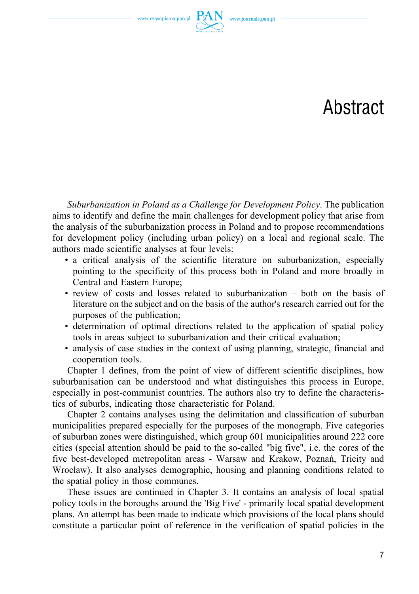www.czasopisma.pan.pl  $\Gamma$ 

## Abstract

*Suburbanization in Poland as a Challenge for Development Policy*. The publication aims to identify and define the main challenges for development policy that arise from the analysis of the suburbanization process in Poland and to propose recommendations for development policy (including urban policy) on a local and regional scale. The authors made scientific analyses at four levels:

- a critical analysis of the scientific literature on suburbanization, especially pointing to the specificity of this process both in Poland and more broadly in Central and Eastern Europe;
- review of costs and losses related to suburbanization both on the basis of literature on the subject and on the basis of the author's research carried out for the purposes of the publication;
- determination of optimal directions related to the application of spatial policy tools in areas subject to suburbanization and their critical evaluation;
- analysis of case studies in the context of using planning, strategic, financial and cooperation tools.

Chapter 1 defines, from the point of view of different scientific disciplines, how suburbanisation can be understood and what distinguishes this process in Europe, especially in post-communist countries. The authors also try to define the characteristics of suburbs, indicating those characteristic for Poland.

Chapter 2 contains analyses using the delimitation and classification of suburban municipalities prepared especially for the purposes of the monograph. Five categories of suburban zones were distinguished, which group 601 municipalities around 222 core cities (special attention should be paid to the so‑called "big five", i.e. the cores of the five best-developed metropolitan areas - Warsaw and Krakow, Poznań, Tricity and Wrocław). It also analyses demographic, housing and planning conditions related to the spatial policy in those communes.

These issues are continued in Chapter 3. It contains an analysis of local spatial policy tools in the boroughs around the 'Big Five' ‑ primarily local spatial development plans. An attempt has been made to indicate which provisions of the local plans should constitute a particular point of reference in the verification of spatial policies in the